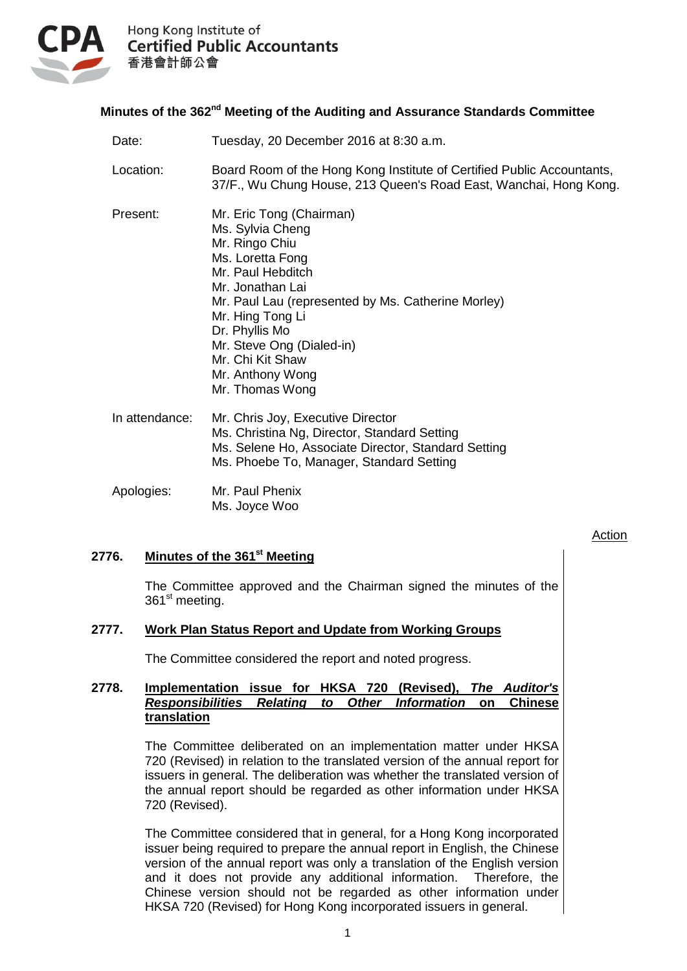

Hong Kong Institute of **Certified Public Accountants** 香港會計師公會

# **Minutes of the 362<sup>nd</sup> Meeting of the Auditing and Assurance Standards Committee**

| Date:          | Tuesday, 20 December 2016 at 8:30 a.m.                                                                                                                                                                                                                                                                          |
|----------------|-----------------------------------------------------------------------------------------------------------------------------------------------------------------------------------------------------------------------------------------------------------------------------------------------------------------|
| Location:      | Board Room of the Hong Kong Institute of Certified Public Accountants,<br>37/F., Wu Chung House, 213 Queen's Road East, Wanchai, Hong Kong.                                                                                                                                                                     |
| Present:       | Mr. Eric Tong (Chairman)<br>Ms. Sylvia Cheng<br>Mr. Ringo Chiu<br>Ms. Loretta Fong<br>Mr. Paul Hebditch<br>Mr. Jonathan Lai<br>Mr. Paul Lau (represented by Ms. Catherine Morley)<br>Mr. Hing Tong Li<br>Dr. Phyllis Mo<br>Mr. Steve Ong (Dialed-in)<br>Mr. Chi Kit Shaw<br>Mr. Anthony Wong<br>Mr. Thomas Wong |
| In attendance: | Mr. Chris Joy, Executive Director<br>Ms. Christina Ng, Director, Standard Setting<br>Ms. Selene Ho, Associate Director, Standard Setting<br>Ms. Phoebe To, Manager, Standard Setting                                                                                                                            |
| Apologies:     | Mr. Paul Phenix<br>Ms. Joyce Woo                                                                                                                                                                                                                                                                                |

# **2776. Minutes of the 361 st Meeting**

The Committee approved and the Chairman signed the minutes of the 361<sup>st</sup> meeting.

**Action** 

# **2777. Work Plan Status Report and Update from Working Groups**

The Committee considered the report and noted progress.

## **2778. Implementation issue for HKSA 720 (Revised),** *The Auditor's Responsibilities Relating to Other Information* **on Chinese translation**

The Committee deliberated on an implementation matter under HKSA 720 (Revised) in relation to the translated version of the annual report for issuers in general. The deliberation was whether the translated version of the annual report should be regarded as other information under HKSA 720 (Revised).

The Committee considered that in general, for a Hong Kong incorporated issuer being required to prepare the annual report in English, the Chinese version of the annual report was only a translation of the English version and it does not provide any additional information. Therefore, the Chinese version should not be regarded as other information under HKSA 720 (Revised) for Hong Kong incorporated issuers in general.